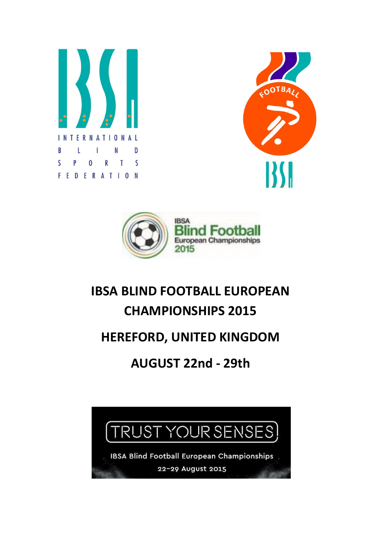





# IBSA BLIND FOOTBALL EUROPEAN CHAMPIONSHIPS 2015

### HEREFORD, UNITED KINGDOM

## AUGUST 22nd - 29th

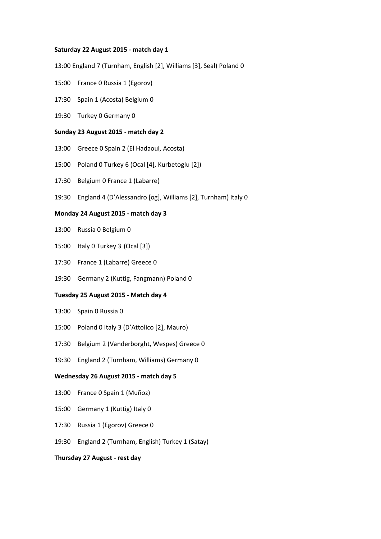#### Saturday 22 August 2015 - match day 1

13:00 England 7 (Turnham, English [2], Williams [3], Seal) Poland 0

- 15:00 France 0 Russia 1 (Egorov)
- 17:30 Spain 1 (Acosta) Belgium 0
- 19:30 Turkey 0 Germany 0

#### Sunday 23 August 2015 - match day 2

- 13:00 Greece 0 Spain 2 (El Hadaoui, Acosta)
- 15:00 Poland 0 Turkey 6 (Ocal [4], Kurbetoglu [2])
- 17:30 Belgium 0 France 1 (Labarre)
- 19:30 England 4 (D'Alessandro [og], Williams [2], Turnham) Italy 0

#### Monday 24 August 2015 - match day 3

- 13:00 Russia 0 Belgium 0
- 15:00 Italy 0 Turkey 3 (Ocal [3])
- 17:30 France 1 (Labarre) Greece 0
- 19:30 Germany 2 (Kuttig, Fangmann) Poland 0

#### Tuesday 25 August 2015 - Match day 4

- 13:00 Spain 0 Russia 0
- 15:00 Poland 0 Italy 3 (D'Attolico [2], Mauro)
- 17:30 Belgium 2 (Vanderborght, Wespes) Greece 0
- 19:30 England 2 (Turnham, Williams) Germany 0

#### Wednesday 26 August 2015 - match day 5

- 13:00 France 0 Spain 1 (Muñoz)
- 15:00 Germany 1 (Kuttig) Italy 0
- 17:30 Russia 1 (Egorov) Greece 0
- 19:30 England 2 (Turnham, English) Turkey 1 (Satay)

#### Thursday 27 August - rest day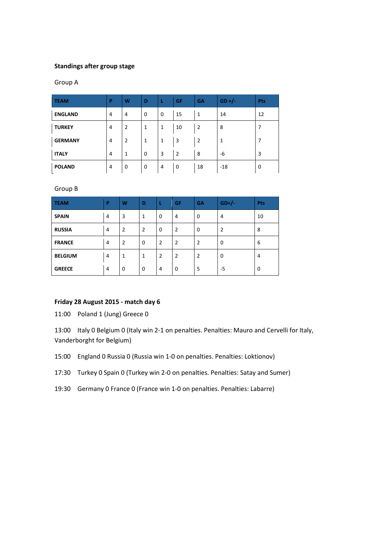#### Standings after group stage

#### Group A

| <b>TEAM</b>    | P.             | W              | D           | L | <b>GF</b>      | <b>GA</b>      | $GD +/-$ | <b>Pts</b> |
|----------------|----------------|----------------|-------------|---|----------------|----------------|----------|------------|
| <b>ENGLAND</b> | 4              | 4              | $\mathbf 0$ | 0 | 15             | 1              | 14       | 12         |
| <b>TURKEY</b>  | 4              | $\overline{2}$ | 1           | 1 | 10             | $\overline{2}$ | 8        | 7          |
| <b>GERMANY</b> | 4              | 2              | 1           | 1 | 3              | $\overline{2}$ | 1        | 7          |
| <b>ITALY</b>   | $\overline{4}$ | 1              | 0           | 3 | $\overline{2}$ | 8              | -6       | 3          |
| <b>POLAND</b>  | 4              | 0              | 0           | 4 | 0              | 18             | $-18$    | 0          |

Group B

| <b>TEAM</b>    | P | W              | D              | L              | GF             | <b>GA</b>      | $GD+/-$        | Pts |
|----------------|---|----------------|----------------|----------------|----------------|----------------|----------------|-----|
| <b>SPAIN</b>   | 4 | 3              | $\mathbf{1}$   | $\mathbf 0$    | 4              | 0              | 4              | 10  |
| <b>RUSSIA</b>  | 4 | $\overline{2}$ | $\overline{2}$ | $\mathbf 0$    | $\overline{2}$ | 0              | $\overline{2}$ | 8   |
| <b>FRANCE</b>  | 4 | $\overline{2}$ | $\mathbf 0$    | $\overline{2}$ | $\overline{2}$ | $\overline{2}$ | $\mathbf 0$    | 6   |
| <b>BELGIUM</b> | 4 | 1              | $\mathbf{1}$   | $\overline{2}$ | $\overline{2}$ | $\overline{2}$ | $\mathbf 0$    | 4   |
| <b>GREECE</b>  | 4 | 0              | 0              | 4              | 0              | 5              | -5             | 0   |

#### Friday 28 August 2015 - match day 6

11:00 Poland 1 (Jung) Greece 0

13:00 Italy 0 Belgium 0 (Italy win 2-1 on penalties. Penalties: Mauro and Cervelli for Italy, Vanderborght for Belgium)

15:00 England 0 Russia 0 (Russia win 1-0 on penalties. Penalties: Loktionov)

17:30 Turkey 0 Spain 0 (Turkey win 2-0 on penalties. Penalties: Satay and Sumer)

19:30 Germany 0 France 0 (France win 1-0 on penalties. Penalties: Labarre)